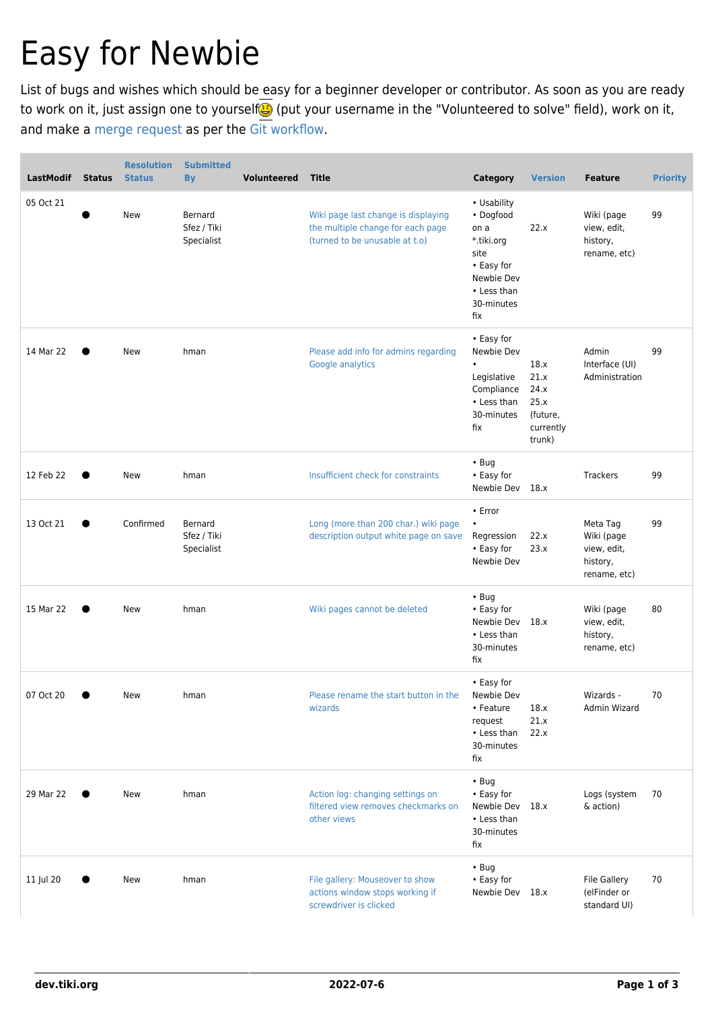## Easy for Newbie

List of bugs and wishes which should be easy for a beginner developer or contributor. As soon as you are ready to work on it, just assign one to yourself (put your username in the "Volunteered to solve" field), work on it, and make a [merge request](https://gitlab.com/tikiwiki/tiki/merge_requests) as per the [Git workflow](https://dev.tiki.org/Git-Workflow).

| LastModif | <b>Status</b> | <b>Resolution</b><br><b>Status</b> | <b>Submitted</b><br><b>By</b>        | <b>Volunteered</b> | <b>Title</b>                                                                                               | <b>Category</b>                                                                                                        | <b>Version</b>                                                  | <b>Feature</b>                                                    | <b>Priority</b> |
|-----------|---------------|------------------------------------|--------------------------------------|--------------------|------------------------------------------------------------------------------------------------------------|------------------------------------------------------------------------------------------------------------------------|-----------------------------------------------------------------|-------------------------------------------------------------------|-----------------|
| 05 Oct 21 |               | New                                | Bernard<br>Sfez / Tiki<br>Specialist |                    | Wiki page last change is displaying<br>the multiple change for each page<br>(turned to be unusable at t.o) | • Usability<br>• Dogfood<br>on a<br>*.tiki.org<br>site<br>• Easy for<br>Newbie Dev<br>• Less than<br>30-minutes<br>fix | 22.x                                                            | Wiki (page<br>view, edit,<br>history,<br>rename, etc)             | 99              |
| 14 Mar 22 |               | New                                | hman                                 |                    | Please add info for admins regarding<br>Google analytics                                                   | • Easy for<br>Newbie Dev<br>$\bullet$<br>Legislative<br>Compliance<br>• Less than<br>30-minutes<br>fix                 | 18.x<br>21.x<br>24.x<br>25.x<br>(future,<br>currently<br>trunk) | Admin<br>Interface (UI)<br>Administration                         | 99              |
| 12 Feb 22 |               | New                                | hman                                 |                    | Insufficient check for constraints                                                                         | $\cdot$ Bug<br>• Easy for<br>Newbie Dev 18.x                                                                           |                                                                 | <b>Trackers</b>                                                   | 99              |
| 13 Oct 21 |               | Confirmed                          | Bernard<br>Sfez / Tiki<br>Specialist |                    | Long (more than 200 char.) wiki page<br>description output white page on save                              | • Error<br>$\bullet$<br>Regression<br>• Easy for<br>Newbie Dev                                                         | 22.x<br>23.x                                                    | Meta Tag<br>Wiki (page<br>view, edit,<br>history,<br>rename, etc) | 99              |
| 15 Mar 22 |               | New                                | hman                                 |                    | Wiki pages cannot be deleted                                                                               | $\cdot$ Bug<br>• Easy for<br>Newbie Dev 18.x<br>• Less than<br>30-minutes<br>fix                                       |                                                                 | Wiki (page<br>view, edit,<br>history,<br>rename, etc)             | 80              |
| 07 Oct 20 |               | New                                | hman                                 |                    | Please rename the start button in the<br>wizards                                                           | • Easy for<br>Newbie Dev<br>• Feature<br>request<br>• Less than<br>30-minutes<br>fix                                   | 18.x<br>21.x<br>22.x                                            | Wizards -<br>Admin Wizard                                         | 70              |
| 29 Mar 22 |               | New                                | hman                                 |                    | Action log: changing settings on<br>filtered view removes checkmarks on<br>other views                     | $\cdot$ Bug<br>• Easy for<br>Newbie Dev 18.x<br>• Less than<br>30-minutes<br>fix                                       |                                                                 | Logs (system<br>& action)                                         | 70              |
| 11 Jul 20 |               | New                                | hman                                 |                    | File gallery: Mouseover to show<br>actions window stops working if<br>screwdriver is clicked               | $\cdot$ Bug<br>• Easy for<br>Newbie Dev 18.x                                                                           |                                                                 | <b>File Gallery</b><br>(elFinder or<br>standard UI)               | 70              |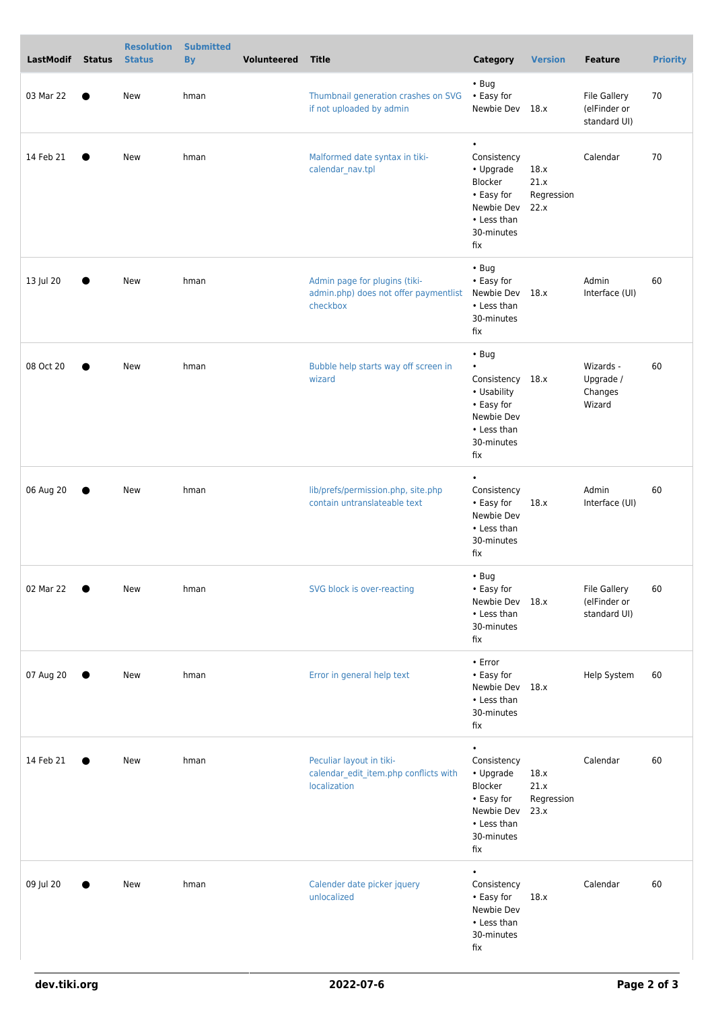| LastModif | <b>Status</b> | <b>Resolution</b><br><b>Status</b> | <b>Submitted</b><br><b>By</b> | <b>Volunteered</b> | <b>Title</b>                                                                       | Category                                                                                                                    | <b>Version</b>                     | <b>Feature</b>                                      | <b>Priority</b> |
|-----------|---------------|------------------------------------|-------------------------------|--------------------|------------------------------------------------------------------------------------|-----------------------------------------------------------------------------------------------------------------------------|------------------------------------|-----------------------------------------------------|-----------------|
| 03 Mar 22 |               | New                                | hman                          |                    | Thumbnail generation crashes on SVG<br>if not uploaded by admin                    | $\cdot$ Bug<br>• Easy for<br>Newbie Dev 18.x                                                                                |                                    | <b>File Gallery</b><br>(elFinder or<br>standard UI) | 70              |
| 14 Feb 21 | $\bullet$     | New                                | hman                          |                    | Malformed date syntax in tiki-<br>calendar_nav.tpl                                 | $\bullet$<br>Consistency<br>• Upgrade<br>Blocker<br>• Easy for<br>Newbie Dev<br>• Less than<br>30-minutes<br>fix            | 18.x<br>21.x<br>Regression<br>22.x | Calendar                                            | 70              |
| 13 Jul 20 |               | New                                | hman                          |                    | Admin page for plugins (tiki-<br>admin.php) does not offer paymentlist<br>checkbox | $\cdot$ Bug<br>• Easy for<br>Newbie Dev 18.x<br>• Less than<br>30-minutes<br>fix                                            |                                    | Admin<br>Interface (UI)                             | 60              |
| 08 Oct 20 |               | New                                | hman                          |                    | Bubble help starts way off screen in<br>wizard                                     | $\cdot$ Bug<br>$\bullet$<br>Consistency 18.x<br>• Usability<br>• Easy for<br>Newbie Dev<br>• Less than<br>30-minutes<br>fix |                                    | Wizards -<br>Upgrade /<br>Changes<br>Wizard         | 60              |
| 06 Aug 20 |               | New                                | hman                          |                    | lib/prefs/permission.php, site.php<br>contain untranslateable text                 | $\bullet$<br>Consistency<br>• Easy for<br>Newbie Dev<br>• Less than<br>30-minutes<br>fix                                    | 18.x                               | Admin<br>Interface (UI)                             | 60              |
| 02 Mar 22 |               | New                                | hman                          |                    | SVG block is over-reacting                                                         | • Bug<br>• Easy for<br>Newbie Dev 18.x<br>• Less than<br>30-minutes<br>fix                                                  |                                    | <b>File Gallery</b><br>(elFinder or<br>standard UI) | 60              |
| 07 Aug 20 | $\bullet$     | New                                | hman                          |                    | Error in general help text                                                         | • Error<br>• Easy for<br>Newbie Dev 18.x<br>• Less than<br>30-minutes<br>fix                                                |                                    | Help System                                         | 60              |
| 14 Feb 21 |               | New                                | hman                          |                    | Peculiar layout in tiki-<br>calendar_edit_item.php conflicts with<br>localization  | $\bullet$<br>Consistency<br>• Upgrade<br>Blocker<br>• Easy for<br>Newbie Dev<br>• Less than<br>30-minutes<br>fix            | 18.x<br>21.x<br>Regression<br>23.x | Calendar                                            | 60              |
| 09 Jul 20 |               | New                                | hman                          |                    | Calender date picker jquery<br>unlocalized                                         | $\bullet$<br>Consistency<br>• Easy for<br>Newbie Dev<br>• Less than<br>30-minutes<br>fix                                    | 18.x                               | Calendar                                            | 60              |